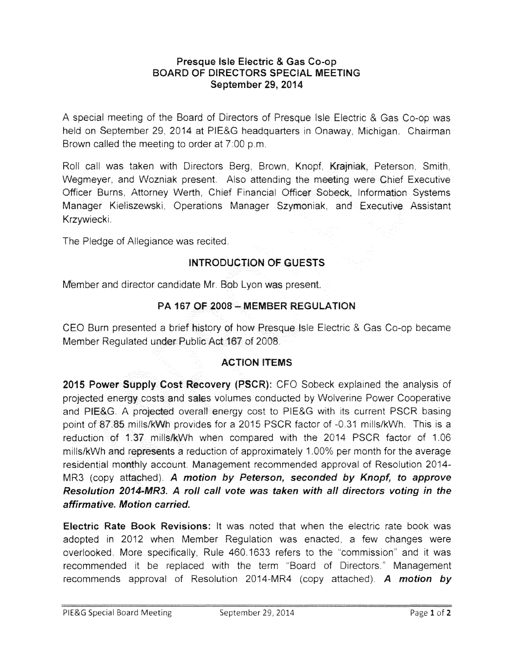#### **Presque Isle Electric** & **Gas Co-op BOARD OF DIRECTORS SPECIAL MEETING September 29, 2014**

A special meeting of the Board of Directors of Presque Isle Electric & Gas Co-op was held on September 29, 2014 at PIE&G headquarters in Onaway, Michigan. Chairman Brown called the meeting to order at  $7:00$  p.m.

Roll call was taken with Directors Berg, Brown, Knopf, Krajniak, Peterson, Smith, Wegmeyer, and Wozniak present. Also attending the meeting were Chief Executive Officer Burns, Attorney Werth, Chief Financial Officer Sobeck, Information Systems Manager Kieliszewskl. Operations Manager Szymoniak, and Executive Assistant Krzywiecki.

The Pledge of Allegiance was recited.

# **INTRODUCTION OF GUESTS**

Member and director candidate Mr. Bob Lyon was present.

### **PA 167 OF 2008 - MEMBER REGULATION**

CEO Burn presented a brief history of how Presque Isle Electric & Gas Co-op became Member Regulated under Public Act 167 of 2008.

### **ACTION ITEMS**

**2015 Power Supply Cost Recovery (PSCR):** CFO Sobeck explained the analysis of projected energy costs and sales volumes conducted by Wolverine Power Cooperative and PIE&G. A projected overall energy cost to PIE&G with its current PSCR basing point of 87.85 mills/kWh provides for a 2015 PSCR factor of -0.31 mills/kWh. This is a reduction of 1.37 mills/kWh when compared with the 2014 PSCR factor of 1.06 mills/kWh and represents a reduction of approximately 1.00% per month for the average residential monthly account. Management recommended approval of Resolution 2014-MR3 (copy attached}. **A motion by Peterson, seconded by Knopf, to approve Resolution 2014-MR3. A roll call vote was taken with all directors voting in the affirmative. Motion carried.** 

**Electric Rate Book Revisions:** It was noted that when the electric rate book was adopted in 2012 when Member Regulation was enacted, a few changes were overlooked. More specifically, Rule 460. 1633 refers to the "commission" and it was recommended it be replaced with the term "Board of Directors." Management recommends approval of Resolution 2014-MR4 (copy attached). **A motion by**